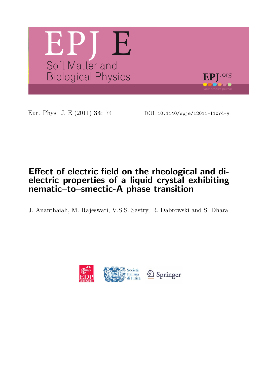

Eur. Phys. J. E (2011) 34: 74 DOI: 10.1140/epje/i2011-11074-y

# Effect of electric field on the rheological and dielectric properties of a liquid crystal exhibiting nematic–to–smectic-A phase transition

J. Ananthaiah, M. Rajeswari, V.S.S. Sastry, R. Dabrowski and S. Dhara

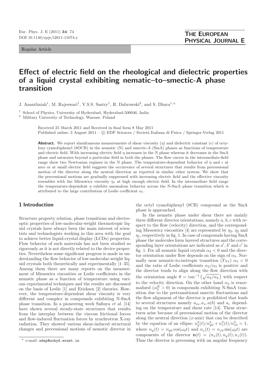Regular Article

# Effect of electric field on the rheological and dielectric properties of a liquid crystal exhibiting nematic–to–smectic-A phase transition

J. Ananthaiah<sup>1</sup>, M. Rajeswari<sup>1</sup>, V.S.S. Sastry<sup>1</sup>, R. Dabrowski<sup>2</sup>, and S. Dhara<sup>1,a</sup>

<sup>1</sup> School of Physics, University of Hyderabad, Hyderabad-500046, India

<sup>2</sup> Military University of Technology, Warsaw, Poland

Received 25 March 2011 and Received in final form 8 May 2011 Published online: 3 August 2011 – © EDP Sciences / Società Italiana di Fisica / Springer-Verlag 2011

**Abstract.** We report simultaneous measurements of shear viscosity  $(\eta)$  and dielectric constant  $(\epsilon)$  of octyloxy cyanobiphenyl (8OCB) in the nematic (N) and smectic-A (SmA) phases as functions of temperature and electric field. With increasing electric field  $\eta$  increases in the N phase whereas it decreases in the SmA phase and saturates beyond a particular field in both the phases. The flow curves in the intermediate-field range show two Newtonian regimes in the N phase. The temperature-dependent behavior of  $\eta$  and  $\epsilon$  at zero or at small electric field suggests the occurrence of several structures that results from precessional motion of the director along the neutral direction as reported in similar other system. We show that the precessional motions are gradually suppressed with increasing electric field and the effective viscosity resembles with the Miesowicz viscosity  $\eta_1$  at high enough electric field. In the intermediate field range the temperature-dependent  $\eta$  exhibits anomalous behavior across the N-SmA phase transition which is attributed to the large contribution of Leslie coefficient  $\alpha_1$ .

## 1 Introduction

Structure property relation, phase transitions and electrooptic properties of low-molecular-weight thermotropic liquid crystals have always been the main interest of scientists and technologists working in this area with the goal to achieve better liquid-crystal display (LCDs) properties. Flow behavior of such materials has not been studied so rigorously as it is not directly related to the device properties. Nevertheless some significant progress is made in understanding the flow behavior of low-molecular-weight liquid crystals both theoretically and experimentally [1–35]. Among them there are many reports on the measurement of Miesowicz viscosities or Leslie coefficients in the nematic phase as a function of temperature using various experimental techniques and the results are discussed on the basis of Leslie [1] and Ericksen [2] theories. However, the temperature-dependent shear viscosity is very different and complex in compounds exhibiting N-SmA phase transition. In a pioneering work Safinya et al. [14] have shown several steady-state structures that results from the interplay between the viscous frictional forces and flow-induced fluctuation forces by synchrotron X-ray radiation. They showed various shear-induced structural changes and precessional motions of nematic director in

the octyl cyanobiphenyl (8CB) compound as the SmA phase is approached.

In the nematic phase under shear there are mainly three different director orientations, namely a, b, c with respect to the flow (velocity) direction, and the corresponding Miesowicz viscosities [4] are represented by  $\eta_3$ ,  $\eta_2$  and  $\eta_1$ , respectively in fig. 1. In case of compounds having SmA phase the molecules form layered structures and the corresponding layer orientations are indicated as  $a'$ ,  $b'$  and  $c'$  in fig. 1. For all nematic liquid crystals  $\alpha_2 < 0$  and the director orientation under flow depends on the sign of  $\alpha_3$ . Normally near nematic-to-isotropic transition  $(T_{NI}) \alpha_3 < 0$ and the ratio of Leslie coefficients  $\alpha_2/\alpha_3$  is positive and the director tends to align along the flow direction with the orientation angle  $\theta = \tan^{-1}(\sqrt{\alpha_2/\alpha_3})$  with respect to the velocity direction. On the other hand  $\alpha_3$  is renormalized  $(\alpha_3^R > 0)$  in compounds exhibiting N-SmA transition due to the pretransitional smectic fluctuations and the flow alignment of the director is prohibited that leads to several structures namely  $a_m, a_s, a(b)$  and  $a_c$  depending on the temperature and shear rate [14]. These structures arise because of precessional motion of the director along the neutral direction  $(x\text{-axis})$  that can be described by the equation of an ellipse:  $n_y^2(t)/n_{y0}^2 + n_z^2(t)/n_{z0}^2 = 1$ , where  $n_y(t) = n_{y0} \cos(\omega_0 t)$  and  $n_z(t) = n_{z0} \sin(\omega_0 t)$  are components of the director  $\mathbf{n}(t)=(n_x(t), n_y(t), n_z(t)).$ Thus the director is precessing with an angular frequency

a e-mail: sdsp@uohyd.ernet.in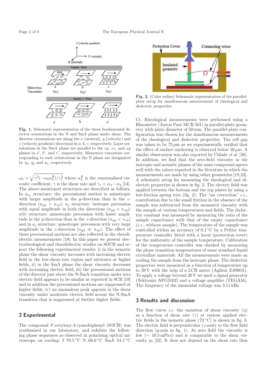

Fig. 1. Schematic representation of the three fundamental director orientations in the N and SmA phase under shear. The director orientations are along the  $x$  (neutral),  $y$  (velocity) and  $z$  (velocity gradient) directions in  $a, b, c$ , respectively. Layer orientations in the SmA phase are parallel to the  $zy, xz$ , and  $xy$ planes in  $a'$ ,  $b'$ , and  $c'$ , respectively. Miesowicz viscosities corresponding to each orientations in the N phase are designated by  $\eta_3$ ,  $\eta_2$  and  $\eta_1$ , respectively.

 $\omega_0 = \sqrt{\gamma^2(-\alpha_2\alpha_3^R)/\gamma_1^2}$  where  $\alpha_3^R$  is the renormalized viscosity coefficient,  $\dot{\gamma}$  is the shear rate and  $\gamma_1 = \alpha_3 - \alpha_2$  [14]. The above-mentioned structures are described as follows. In  $a_m$  structure: the precessional motion is anisotropic with larger amplitude in the y-direction than in the  $z$ direction  $(n_{y0} > n_{z0})$ ;  $a_s$  structure: isotropic precession with equal amplitude in both the directions  $(n_{y0} = n_{z0});$  $a(b)$  structure: anisotropic precession with lesser amplitude in the y-direction than in the z-direction  $(n_{y0} < n_{z0})$ and in  $a_c$  structure: anisotropic precession with very large amplitude in the z-direction  $(n_{y0} \ll n_{z0})$ . The effect of these precessional motions are also reflected in the rheodielectric measurements [19]. In this paper we present electrorheological and rheodielectric studies on 8OCB and report the following experimental results: i) in the nematic phase the shear viscosity increases with increasing electric field in the low-shear-rate region and saturates at higher fields, ii) in the SmA phase the shear viscosity decreases with increasing electric field, iii) the precessional motions of the director just above the N-SmA transition under zero electric field appears to be similar as reported in 8CB [19] and in addition the precessional motions are suppressed at higher fields, iv) an anomalous peak appears in the shear viscosity under moderate electric field across the N-SmA transition that is suppressed at further higher fields.

### 2 Experimental

The compound 4′ -octyloxy-4-cyanobiphenyl (8OCB) was synthesized in our laboratory, and exhibits the following phase sequences as observed in polarising optical microscope on cooling: I 79.5 °C N 66.6 °C SmA 54.5 °C



Fig. 2. (Color online) Schematic representation of the parallelplate setup for simultaneous measurement of rheological and dielectric properties.

Cr. Rheological measurements were performed using a Rheometer (Anton Paar MCR 501) in parallel-plate geometry with plate diameter of 50 mm. The parallel-plate configuration was chosen for the simultaneous measurements of the rheological and dielectric properties. The cell gap was taken to be  $75 \mu m$  as we experimentally verified that the effect of surface anchoring is observed below 50  $\mu$ m. A similar observation was also reported by Cidade *et al.* [36]. In addition, we find that the zero-field viscosity in the isotropic and nematic phases of the same compound agrees well with the values reported in the literature in which the measurements are made by using other geometries [19,22]. A schematic setup for measuring the rheological and dielectric properties is shown in fig. 2. The electric field was applied between the bottom and the top plates by using a low-friction spring wire (fig. 2). The "air correction" *i.e.*, contribution due to the small friction in the absence of the sample was subtracted from the measured viscosity with the sample at various temperatures and fields. The dielectric constant was measured by measuring the ratio of the sample capacitance with that of the empty capacitance (i.e., without sample). The temperature of the sample was controlled within an accuracy of  $0.1\,^{\circ}\mathrm{C}$  by a Peltier temperature controller fitted with a hood (protection cover) for the uniformity of the sample temperature. Calibration of the temperature controller was checked by measuring the phase transition temperatures of some standard liquid crystalline materials. All the measurements were made on cooling the sample from the isotropic phase. The dielectric properties were measured as a function of temperature up to 20 V with the help of a LCR meter (Agilent E4980A). To apply a voltage beyond 20 V we used a signal generator (Tektronix AFG3102) and a voltage amplifier (TEGAM). The frequency of the sinusoidal voltage was 3.11 kHz.

#### 3 Results and discussion

The flow curve *i.e.* the variation of shear viscosity  $(\eta)$ as a function of shear rate  $(\dot{\gamma})$  at various applied electric fields in the nematic phase  $(72 °C)$  is shown in fig. 3. The electric field is perpendicular (z-axis) to the flow field direction  $(y\text{-axis in fig. 1})$ . At zero field the viscosity is low ( $\sim 10.5 \text{ mPa s}$ ) and is comparable to the shear viscosity  $\eta_3$  [22]. It does not depend on the shear rate thus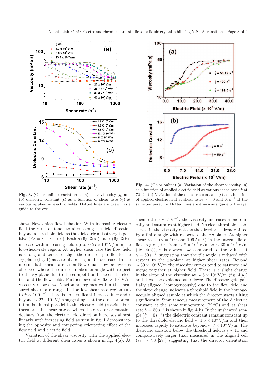

Fig. 3. (Color online) Variation of (a) shear viscosity  $(\eta)$  and (b) dielectric constant ( $\epsilon$ ) as a function of shear rate  $(\dot{\gamma})$  at various applied ac electric fields. Dotted lines are drawn as a guide to the eye.

shows Newtonian flow behavior. With increasing electric field the director tends to align along the field direction beyond a threshold field as the dielectric anisotropy is positive ( $\Delta \epsilon = \epsilon_{\parallel} - \epsilon_{\perp} > 0$ ). Both  $\eta$  (fig. 3(a)) and  $\epsilon$  (fig. 3(b)) increase with increasing field up to  $\sim 27 \times 10^4$  V/m in the low-shear-rate region. At higher shear rate the flow field is strong and tends to align the director parallel to the xy-plane (fig. 1) as a result both  $\eta$  and  $\epsilon$  decrease. In the intermediate shear rate a non-Newtonian flow behavior is observed where the director makes an angle with respect to the xy-plane due to the competition between the electric and the flow fields. Further beyond  $\sim 6.6 \times 10^4$  V/m viscosity shows two Newtonian regimes within the measured shear rate range. In the low-shear-rate region (up to  $\dot{\gamma} \sim 100 \,\mathrm{s}^{-1}$ ) there is no significant increase in  $\eta$  and  $\epsilon$ beyond  $\sim 27 \times 10^4$  V/m suggesting that the director orientation is almost parallel to the electric field  $(z\text{-axis})$ . Furthermore, the shear rate at which the director orientation deviates from the electric field direction increases almost linearly with increasing field as seen in fig. 1 demonstrating the opposite and competing orientating effect of the flow field and electric field.

Variation of the shear viscosity with the applied electric field at different shear rates is shown in fig. 4(a). At



Fig. 4. (Color online) (a) Variation of the shear viscosity  $(\eta)$ as a function of applied electric field at various shear rates  $\dot{\gamma}$  at 72 °C. (b) Variation of the dielectric constant  $(\epsilon)$  as a function of applied electric field at shear rates  $\dot{\gamma} = 0$  and  $50 s^{-1}$  at the same temperature. Dotted lines are drawn as a guide to the eye.

shear rate  $\dot{\gamma} \sim 50 \,\mathrm{s}^{-1}$ , the viscosity increases monotonically and saturates at higher field. No clear threshold is observed in the viscosity data as the director is already tilted by a finite angle with respect to the  $xy$ -plane. At higher shear rates ( $\gamma = 100$  and  $199.5 \text{ s}^{-1}$ ) in the intermediatefield region, *i.e.* from  $\sim 8 \times 10^4$  V/m to  $\sim 30 \times 10^4$  V/m (fig. 4(a)),  $\eta$  is always low compared to the values at  $\dot{\gamma} = 50 \,\mathrm{s}^{-1}$ , suggesting that the tilt angle is reduced with respect to the xy-plane at higher shear rates. Beyond  $\sim 30 \times 10^4$  V/m the viscosity curves tend to saturate and merge together at higher field. There is a slight change in the slope of the viscosity at  $\sim 8 \times 10^4$  V/m (fig. 4(a)) and it can be explained as follows: The director gets partially aligned (homogeneously) due to the flow field and the slope change indicates a threshold field in the homogeneously aligned sample at which the director starts tilting significantly. Simultaneous measurement of the dielectric constant at the same temperature  $(72 °C)$  and at shear rate  $\dot{\gamma} = 50 \,\mathrm{s}^{-1}$  is shown in fig. 4(b). In the unsheared sample  $(\dot{\gamma} = 0 \,\mathrm{s}^{-1})$  the dielectric constant remains constant up to the threshold electric field  $\sim 1.5 \times 10^4$  V/m and then increases rapidly to saturate beyond  $\sim 7 \times 10^4$  V/m. The dielectric constant below the threshold field is  $\epsilon \sim 11$  and comparatively larger than measured in the aligned cell  $(\epsilon_{\perp} \sim 7.3$  [29]) suggesting that the director orientation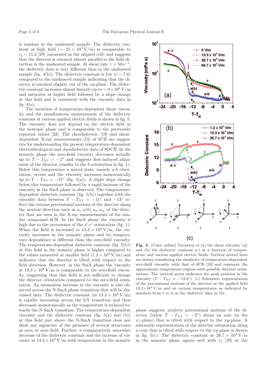is random in the unsheared sample. The dielectric constant at high field ( $\sim 25 \times 10^4$  V/m) is comparable to  $\epsilon_{\parallel} \sim 15.2$  [29] (measured in the aligned cell) and suggests that the director is oriented almost parallel to the field direction in the unsheared sample. At shear rate  $\dot{\gamma} = 50 \,\mathrm{s}^{-1}$ , the dielectric data is very different than in the unsheared sample (fig. 4(b)). The dielectric constant is low ( $\epsilon \sim 7.6$ ) compared to the unsheared sample indicating that the director is oriented slightly out of the xy-plane. The dielectric constant increases almost linearly up to  $\sim 8 \times 10^4$  V/m and saturates at higher field followed by a slope change at this field and is consistent with the viscosity data in fig.  $4(a)$ .

The variation of temperature-dependent shear viscosity and the simultaneous measurement of the dielectric constant at various applied electric fields is shown in fig. 5. The viscosity does not depend on the electric field in the isotropic phase and is comparable to the previously reported values [22]. The rheodielectric [19] and sheardependent X-ray measurements [15] of 8CB are suggestive for understanding the present temperature-dependent electrorheological and rheodielectric data of 8OCB. In the nematic phase the zero-field viscosity decreases initially up to  $T - T_{NI} = -2^{\circ}$  and suggests flow-induced alignment of the director (similar to the b orientation in fig. 1). Below this temperature a mixed state, namely  $a-b$  orientation, occurs and the viscosity increases monotonically up to  $T - T_{NI} = -11$ <sup>°</sup> (fig. 5(a)). A slight slope change below this temperature followed by a rapid increase of the viscosity in the SmA phase is observed. The temperaturedependent dielectric constant (fig. 5(b)) together with the viscosity data between  $T - T_{NI} = -11°$  and  $-13°$  reflect the various precessional motions of the director along the neutral direction such as  $a_c$ ,  $a(b)$ ,  $a_s$ ,  $a_m$  of the director that are seen in the X-ray measurements of the similar compound 8CB. In the SmA phase the viscosity is high due to the occurrence of the  $a'-c'$  orientation (fig. 1). When the field is increased to  $13.3 \times 10^4$  V/m, the viscosity increases in the nematic phase and its temperature dependence is different than the zero-field viscosity. The temperature-dependent dielectric constant (fig. 5(b)) at this field in the nematic phase is higher compared to the values measured at smaller field  $(1.2 \times 10^4 \text{ V/m})$  and indicates that the director is tilted with respect to the field direction. However, in the SmA phase the viscosity at  $13.3 \times 10^4$  V/m is comparable to the zero-field viscosity, suggesting that this field is not sufficient to change the director orientation compared to the zero-field orientation. An anomalous increase in the viscosity is also observed across the N-SmA phase transition that will be discussed later. The dielectric constant (at  $13.3 \times 10^4$  V/m) is rapidly increasing across the I-N transition and then decreases monotonically as the temperature is reduced towards the N-SmA transition. The temperature-dependent viscosity and the dielectric constant (fig.  $5(a)$  and (b)) at this field just above the N-SmA transition does not show any signature of the presence of several structures as seen at zero field. Further, a comparatively smoother decrease of the dielectric constant and the increase of viscosity at  $13.3 \times 10^4$  V/m with temperature in the nematic



Fig. 5. (Color online) Variation of (a) the shear viscosity  $(\eta)$ and (b) the dielectric constant  $(\epsilon)$  as a function of temperature and various applied electric fields. Vertical dotted lines are drawn considering the similarity of temperature-dependent zero-field viscosity with that of 8CB [19] and represent the approximate temperature regions with possible director orientations. The vertical arrow indicates the peak position in the viscosity  $(T - T_{NI} = -13.8^{\circ})$ . (c) Schematic representation of the precessional motions of the director at the applied field  $13.3\times10^4$  V/m and at various temperatures as indicated by numbers from 1 to 4 on the dielectric data in (b).

phase suggests uniform precessional motions of the director (below  $T - T_{NI} = -2^{\circ}$ ) about an axis (in the  $xz$ -plane) that is tilted with respect to the  $xy$ -plane. A schematic representation of the director orientation along a cone that is tilted with respect to the  $xy$ -plane is shown in fig. 5(c). The dielectric constant at  $26.7 \times 10^4$  V/m in the nematic phase agrees well with  $\epsilon_{\parallel}$  [29] at the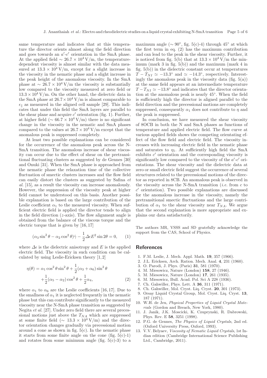same temperature and indicates that at this temperature the director orients almost along the field direction and goes towards an  $a'-c'$  orientation in the SmA phase. At the applied field  $\sim 26.7 \times 10^4$  V/m, the temperaturedependent viscosity is almost similar with the data measured at  $13.3 \times 10^4$  V/m, except for a slight increase in the viscosity in the nematic phase and a slight increase in the peak height of the anomalous viscosity. In the SmA phase at  $\sim 26.7 \times 10^4$  V/m the viscosity is substantially low compared to the viscosity measured at zero field or  $13.3 \times 10^4$  V/m. On the other hand, the dielectric data in the SmA phase at  $26.7 \times 10^4$  V/m is almost comparable to  $\epsilon_{\parallel}$  as measured in the aligned cell sample [29]. This indicates that under this field the SmA layers are parallel to the shear plane and acquire  $c'$  orientation (fig. 1). Further, at higher field ( $\sim 66.7 \times 10^4$  V/m) there is no significant change in the viscosity in the nematic and SmA phases compared to the values at  $26.7 \times 10^4$  V/m except that the anomalous peak is suppressed completely.

At least two possible explanations can be considered for the occurrence of the anomalous peak across the N-SmA transition. The anomalous increase of shear viscosity can occur due to the effect of shear on the pretransitional fluctuating clusters as suggested by de Gennes [30] and Onuki [31]. When the SmA phase is approached from the nematic phase the relaxation time of the collective fluctuation of smectic clusters increases and the flow field can easily distort the clusters as suggested by Safina et al. [15], as a result the viscosity can increase anomalously. However, the suppression of the viscosity peak at higher field cannot be understood on this basis. Another possible explanation is based on the large contribution of the Leslie coefficient  $\alpha_1$  to the measured viscosity. When sufficient electric field is applied the director tends to align in the field direction  $(z\text{-axis})$ . The flow alignment angle is obtained from the balance of the viscous torque and the electric torque that is given by [16, 17]

$$
(\alpha_3 \sin^2 \theta - \alpha_2 \cos^2 \theta)\dot{\gamma} - \frac{1}{2}\Delta \epsilon E^2 \sin 2\theta = 0, \qquad (1)
$$

where  $\Delta \epsilon$  is the dielectric anisotropy and E is the applied electric field. The viscosity in such condition can be calculated by using Leslie-Ericksen theory [1, 2]

$$
\eta(\theta) = \alpha_1 \cos^2 \theta \sin^2 \theta + \frac{1}{2} (\alpha_3 + \alpha_6) \sin^2 \theta
$$

$$
+ \frac{1}{2} (\alpha_5 - \alpha_2) \cos^2 \theta + \frac{1}{2} \alpha_4,
$$
 (2)

where  $\alpha_1$  to  $\alpha_6$  are the Leslie coefficients [16, 17]. Due to the smallness of  $\alpha_1$  it is neglected frequently in the nematic phase but this can contribute significantly to the measured viscosity near the N-SmA phase transition as suggested by Negita et al. [27]. Under zero field there are several precessional motions just above the  $T_{NA}$  which are suppressed at some finite field ( $\sim 13.3 \times 10^4$  V/m) and the director orientation changes gradually via precessional motion around a cone as shown in fig.  $5(c)$ . In the nematic phase it starts from some finite angle on the cone (fig.  $5(c)-1$ ) and rotates from some minimum angle (fig.  $5(c)-3$ ) to a

maximum angle ( $\sim 90^{\circ}$ , fig. 5(c)-4) through 45° at which the first term in eq. (2) has the maximum contribution and can lead to the peak in the shear viscosity. Further, it is noticed from fig. 5(b) that at  $13.3 \times 10^4$  V/m the minimum (mark 3 in fig.  $5(b)$ ) and the maximum (mark 4 in fig.  $5(b)$ ) in the dielectric constant occur at temperatures  $\overline{T} - \overline{T}_{NI} \simeq -13.3^{\circ}$  and  $\simeq -14.3^{\circ}$ , respectively. Interestingly the anomalous peak in the viscosity data (fig.  $5(a)$ ) at the same field appears at an intermediate temperature  $T - T_{NI} \simeq -13.8^{\circ}$  and indicates that the director orientation at the anomalous peak is nearly 45◦ . When the field is sufficiently high the director is aligned parallel to the field direction and the precessional motions are completely suppressed, consequently  $\alpha_1$  does not contribute to  $\eta$  and the peak is suppressed.

In conclusion, we have measured the shear viscosity of 8OCB in both the N and SmA phases as functions of temperature and applied electric field. The flow curve at various applied fields shows the competing orientating effect of the flow field and electric field. The viscosity increases with increasing electric field in the nematic phase and saturates to  $\eta_1$ . At sufficiently high field the SmA exhibits  $c'$  orientation and the corresponding viscosity is significantly low compared to the viscosity of the  $a'-c'$  orientations. The shear viscosity and the dielectric data at zero or small electric field suggest the occurrence of several structures related to the precessional motions of the director as reported in 8CB. An anomalous peak is observed in the viscosity across the N-SmA transition (*i.e.* from  $c$  to c ′ orientation). Two possible explanations are discussed for the anomalous increase in the viscosity, namely the pretransitional smectic fluctuations and the large contribution of  $\alpha_1$  to the shear viscosity near  $T_{NA}$ . We argue that the second explanation is more appropriate and explains our data satisfactorily.

The authors MR, VSSS and SD gratefully acknowledge the support from the CAS, School of Physics.

#### References

- 1. F.M. Leslie, J. Mech. Appl. Math. 19, 357 (1966).
- 2. J.L. Ericksen, Arch. Ration. Mech. Anal. 4, 231 (1960).
- 3. O. Parodi, J. Phys. (Paris) 31, 581 (1970).
- 4. M. Miesowicz, Nature (London) 158, 27 (1946).
- 5. M. Miesowicz, Nature (London) 17, 261 (1935).
- 6. M. Miesowicz, Bull. Acad. Pol. Sci A 228 (1936).
- 7. Ch. Gahwiller, Phys. Lett. A 36, 311 (1971).
- 8. Ch. Gahwiller, Mol. Cryst. Liq. Cryst. 20, 301 (1973).
- 9. Orsay Liquid Crystal Group, Mol. Cryst. Liq. Cryst. 13, 187 (1971).
- 10. W.H. de Jeu, Physical Properties of Liquid Crystal Materials (Gordon and Breach, New York, 1980).
- 11. J. Janik, J.K. Moscicki, K. Czuprynski, R. Dabrowski, Phys. Rev. E 58, 3251 (1998).
- 12. P.G. de Gennes, The Physics of Liquid Crystals, 2nd ed. (Oxford University Press, Oxford, 1993).
- 13. V.V. Belyaev, Viscosity of Nematic Liquid Crystals, 1st Indian edition (Cambridge International Science Publishing Ltd., Cambridge, 2011).